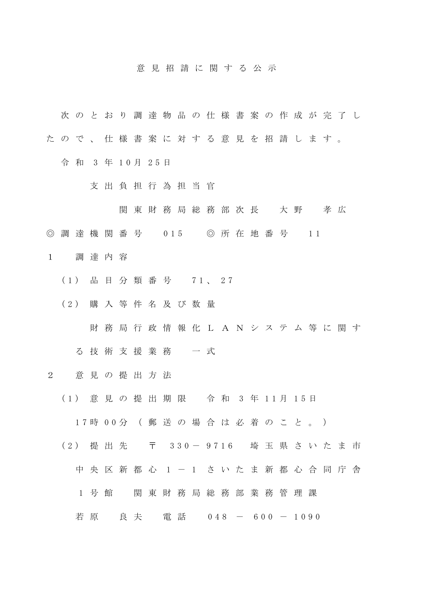## 意 見 招 請 に 関 す る 公 示

- 次 の と お り 調 達 物 品 の 仕 様 書 案 の 作 成 が 完 了 し
- た の で 、 仕 様 書 案 に 対 す る 意 見 を 招 請 し ま す 。
	- 令 和 3 年 1 0 月 2 5 日
		- 支 出 負 担 行 為 担 当 官
			- 関 東 財 務 局 総 務 部 次 長 大 野 孝 広
- ◎ 調 達 機 関 番 号 0 15 ◎ 所 在 地 番 号 1 1
- 1 調 達 内 容
	- ( 1 ) 品 目 分 類 番 号 7 1 、 2 7
	- ( 2 ) 購 入 等 件 名 及 び 数 量
		- 財 務 局 行 政 情 報 化 L A N シ ス テ ム 等 に 関 す
		- る技術支援業務 一式
- 2 意 見 の 提 出 方 法
	- ( 1 ) 意 見 の 提 出 期 限 令 和 3 年 1 1 月 1 5 日
		- 1 7 時 0 0 分 ( 郵 送 の 場 合 は 必 着 の こ と 。 )
	- (2) 提 出 先 〒 330-9716 埼 玉 県 さ い た ま 市
		- 中 央 区 新 都 心 1 1 さ い た ま 新 都 心 合 同 庁 舎
		- 1 号館 関東財務局総務部業務管理課
		- 若 原 良 夫 電 話 0 4 8 6 0 0 1 0 9 0